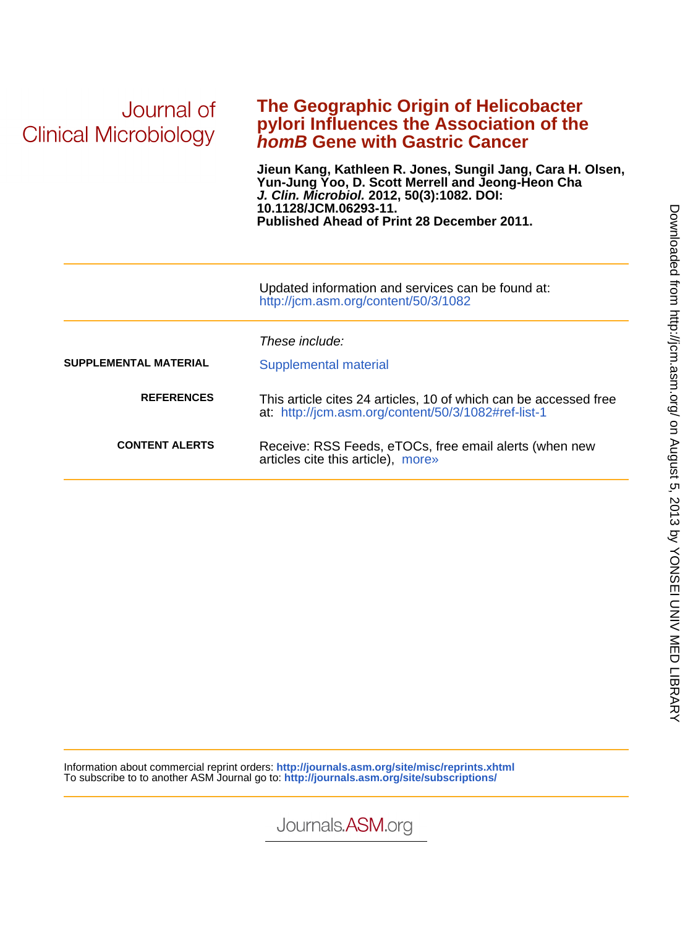| Journal of<br>Clinical Microbiology | The Geographic Origin of Helicobacter<br>pylori Influences the Association of the<br><b>homB Gene with Gastric Cancer</b>                                                                                                                   |  |  |  |
|-------------------------------------|---------------------------------------------------------------------------------------------------------------------------------------------------------------------------------------------------------------------------------------------|--|--|--|
|                                     | Jieun Kang, Kathleen R. Jones, Sungil Jang, Cara H. Olsen,<br>Yun-Jung Yoo, D. Scott Merrell and Jeong-Heon Cha<br>J. Clin. Microbiol. 2012, 50(3):1082. DOI:<br>10.1128/JCM.06293-11.<br><b>Published Ahead of Print 28 December 2011.</b> |  |  |  |
|                                     | Updated information and services can be found at:<br>http://jcm.asm.org/content/50/3/1082                                                                                                                                                   |  |  |  |
|                                     | These include:                                                                                                                                                                                                                              |  |  |  |
| <b>SUPPLEMENTAL MATERIAL</b>        | Supplemental material                                                                                                                                                                                                                       |  |  |  |
| <b>REFERENCES</b>                   | This article cites 24 articles, 10 of which can be accessed free<br>at: http://jcm.asm.org/content/50/3/1082#ref-list-1                                                                                                                     |  |  |  |
| <b>CONTENT ALERTS</b>               | Receive: RSS Feeds, eTOCs, free email alerts (when new<br>articles cite this article), more»                                                                                                                                                |  |  |  |

Information about commercial reprint orders: **http://journals.asm.org/site/misc/reprints.xhtml** To subscribe to to another ASM Journal go to: **http://journals.asm.org/site/subscriptions/**

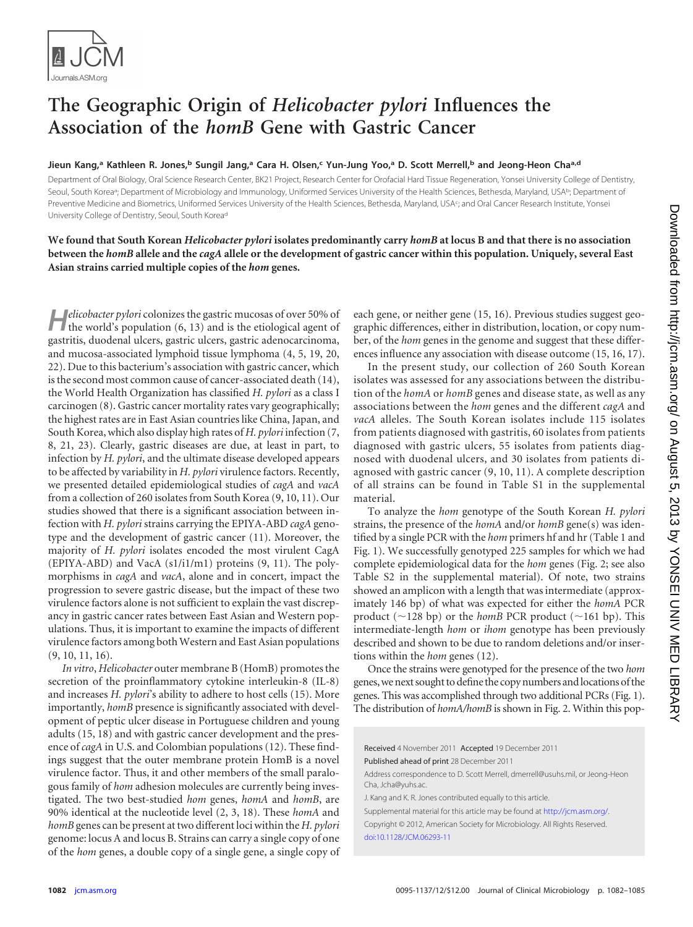

# **The Geographic Origin of** *Helicobacter pylori* **Influences the Association of the** *homB* **Gene with Gastric Cancer**

## **Jieun Kang, <sup>a</sup> Kathleen R. Jones, <sup>b</sup> Sungil Jang, <sup>a</sup> Cara H. Olsen, <sup>c</sup> Yun-Jung Yoo, <sup>a</sup> D. Scott Merrell, <sup>b</sup> and Jeong-Heon Chaa,d**

Department of Oral Biology, Oral Science Research Center, BK21 Project, Research Center for Orofacial Hard Tissue Regeneration, Yonsei University College of Dentistry, Seoul, South Korea<sup>a</sup>; Department of Microbiology and Immunology, Uniformed Services University of the Health Sciences, Bethesda, Maryland, USAb; Department of Preventive Medicine and Biometrics, Uniformed Services University of the Health Sciences, Bethesda, Maryland, USA<sup>c</sup>; and Oral Cancer Research Institute, Yonsei University College of Dentistry, Seoul, South Koread

# **We found that South Korean** *Helicobacter pylori* **isolates predominantly carry** *homB* **at locus B and that there is no association between the** *homB* **allele and the** *cagA* **allele or the development of gastric cancer within this population. Uniquely, several East Asian strains carried multiple copies of the** *hom* **genes.**

**H***elicobacter pylori* colonizes the gastric mucosas of over 50% of the world's population [\(6,](#page-4-0) [13\)](#page-4-1) and is the etiological agent of gastritis, duodenal ulcers, gastric ulcers, gastric adenocarcinoma, and mucosa-associated lymphoid tissue lymphoma [\(4,](#page-4-2) [5,](#page-4-3) [19,](#page-4-4) [20,](#page-4-5) [22\)](#page-4-6). Due to this bacterium's association with gastric cancer, which is the second most common cause of cancer-associated death [\(14\)](#page-4-7), the World Health Organization has classified *H. pylori* as a class I carcinogen [\(8\)](#page-4-8). Gastric cancer mortality rates vary geographically; the highest rates are in East Asian countries like China, Japan, and South Korea, which also display high rates of *H. pylori* infection [\(7,](#page-4-9) [8,](#page-4-8) [21,](#page-4-10) [23\)](#page-4-11). Clearly, gastric diseases are due, at least in part, to infection by *H. pylori*, and the ultimate disease developed appears to be affected by variability in *H. pylori* virulence factors. Recently, we presented detailed epidemiological studies of *cagA* and *vacA* from a collection of 260 isolates from South Korea [\(9,](#page-4-12) [10,](#page-4-13) [11\)](#page-4-14). Our studies showed that there is a significant association between infection with *H. pylori* strains carrying the EPIYA-ABD *cagA* genotype and the development of gastric cancer [\(11\)](#page-4-14). Moreover, the majority of *H. pylori* isolates encoded the most virulent CagA (EPIYA-ABD) and VacA (s1/i1/m1) proteins [\(9,](#page-4-12) [11\)](#page-4-14). The polymorphisms in *cagA* and *vacA*, alone and in concert, impact the progression to severe gastric disease, but the impact of these two virulence factors alone is not sufficient to explain the vast discrepancy in gastric cancer rates between East Asian and Western populations. Thus, it is important to examine the impacts of different virulence factors among both Western and East Asian populations [\(9,](#page-4-12) [10,](#page-4-13) [11,](#page-4-14) [16\)](#page-4-15).

*In vitro*, *Helicobacter* outer membrane B (HomB) promotes the secretion of the proinflammatory cytokine interleukin-8 (IL-8) and increases *H. pylori*'s ability to adhere to host cells [\(15\)](#page-4-16). More importantly, *homB* presence is significantly associated with development of peptic ulcer disease in Portuguese children and young adults [\(15,](#page-4-16) [18\)](#page-4-17) and with gastric cancer development and the presence of *cagA* in U.S. and Colombian populations [\(12\)](#page-4-18). These findings suggest that the outer membrane protein HomB is a novel virulence factor. Thus, it and other members of the small paralogous family of *hom* adhesion molecules are currently being investigated. The two best-studied *hom* genes, *homA* and *homB*, are 90% identical at the nucleotide level [\(2,](#page-4-19) [3,](#page-4-20) [18\)](#page-4-17). These *homA* and *homB* genes can be present at two different loci within the *H. pylori* genome: locus A and locus B. Strains can carry a single copy of one of the *hom* genes, a double copy of a single gene, a single copy of each gene, or neither gene [\(15,](#page-4-16) [16\)](#page-4-15). Previous studies suggest geographic differences, either in distribution, location, or copy number, of the *hom* genes in the genome and suggest that these differences influence any association with disease outcome [\(15,](#page-4-16) [16,](#page-4-15) [17\)](#page-4-21).

In the present study, our collection of 260 South Korean isolates was assessed for any associations between the distribution of the *homA* or *homB* genes and disease state, as well as any associations between the *hom* genes and the different *cagA* and *vacA* alleles. The South Korean isolates include 115 isolates from patients diagnosed with gastritis, 60 isolates from patients diagnosed with gastric ulcers, 55 isolates from patients diagnosed with duodenal ulcers, and 30 isolates from patients diagnosed with gastric cancer [\(9,](#page-4-12) [10,](#page-4-13) [11\)](#page-4-14). A complete description of all strains can be found in Table S1 in the supplemental material.

To analyze the *hom* genotype of the South Korean *H. pylori* strains, the presence of the *homA* and/or *homB* gene(s) was identified by a single PCR with the *hom* primers hf and hr [\(Table 1](#page-2-0) and [Fig. 1\)](#page-2-1). We successfully genotyped 225 samples for which we had complete epidemiological data for the *hom* genes [\(Fig. 2;](#page-3-0) see also Table S2 in the supplemental material). Of note, two strains showed an amplicon with a length that was intermediate (approximately 146 bp) of what was expected for either the *homA* PCR product ( $\sim$ 128 bp) or the *homB* PCR product ( $\sim$ 161 bp). This intermediate-length *hom* or *ihom* genotype has been previously described and shown to be due to random deletions and/or insertions within the *hom* genes [\(12\)](#page-4-18).

Once the strains were genotyped for the presence of the two *hom* genes, we next sought to define the copy numbers and locations of the genes. This was accomplished through two additional PCRs [\(Fig. 1\)](#page-2-1). The distribution of *homA/homB* is shown in [Fig. 2.](#page-3-0) Within this pop-

Received 4 November 2011 Accepted 19 December 2011

Published ahead of print 28 December 2011

Address correspondence to D. Scott Merrell, dmerrell@usuhs.mil, or Jeong-Heon Cha, Jcha@yuhs.ac.

J. Kang and K. R. Jones contributed equally to this article.

Supplemental material for this article may be found at http://jcm.asm.org/. Copyright © 2012, American Society for Microbiology. All Rights Reserved. [doi:10.1128/JCM.06293-11](http://dx.doi.org/10.1128/JCM.06293-11)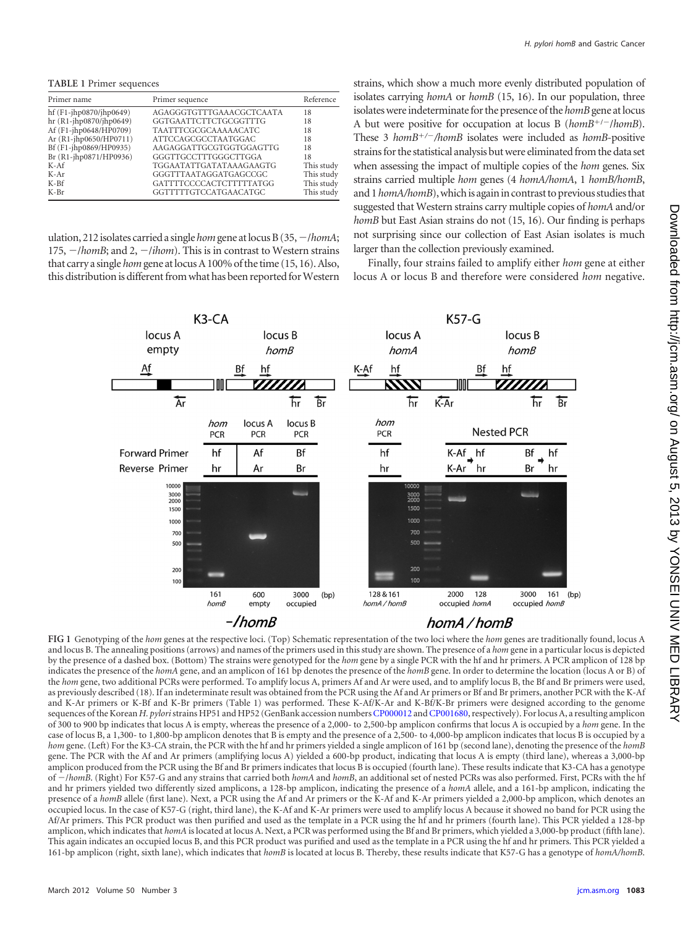<span id="page-2-0"></span>**TABLE 1** Primer sequences

| Primer name              | Primer sequence             | Reference  |
|--------------------------|-----------------------------|------------|
| $hf(F1-jhp0870/jhp0649)$ | AGAGGGTGTTTGAAACGCTCAATA    | 18         |
| $hr(R1-jhp0870/jhp0649)$ | GGTGAATTCTTCTGCGGTTTG       | 18         |
| Af (F1-jhp0648/HP0709)   | <b>TAATTTCGCGCAAAAACATC</b> | 18         |
| Ar (R1-jhp0650/HP0711)   | ATTCCAGCGCCTAATGGAC         | 18         |
| Bf (F1-jhp0869/HP0935)   | AAGAGGATTGCGTGGTGGAGTTG     | 18         |
| Br (R1-jhp0871/HP0936)   | GGGTTGCCTTTGGGCTTGGA        | 18         |
| $K-Af$                   | TGGAATATTGATATAAAGAAGTG     | This study |
| $K-Ar$                   | GGGTTTAATAGGATGAGCCGC       | This study |
| $K-Bf$                   | GATTTTCCCCACTCTTTTTATGG     | This study |
| $K-Br$                   | GGTTTTTGTCCATGAACATGC       | This study |
|                          |                             |            |

ulation, 212 isolates carried a single*hom*gene at locus B (35,-/*homA*; 175,  $-$ /homB; and 2,  $-$ /ihom). This is in contrast to Western strains that carry a single *hom*gene at locus A 100% of the time [\(15,](#page-4-16) [16\)](#page-4-15). Also, this distribution is different from what has been reported for Western strains, which show a much more evenly distributed population of isolates carrying *homA* or *homB* [\(15,](#page-4-16) [16\)](#page-4-15). In our population, three isolates were indeterminate for the presence of the *homB*gene at locus A but were positive for occupation at locus B (homB<sup>+/-</sup>/homB). These 3 *homB/*-*/homB* isolates were included as *homB*-positive strains for the statistical analysis but were eliminated from the data set when assessing the impact of multiple copies of the *hom* genes. Six strains carried multiple *hom* genes (4 *homA/homA*, 1 *homB/homB*, and 1*homA/homB*), which is again in contrast to previous studies that suggested that Western strains carry multiple copies of *homA* and/or *homB* but East Asian strains do not [\(15,](#page-4-16) [16\)](#page-4-15). Our finding is perhaps not surprising since our collection of East Asian isolates is much larger than the collection previously examined.

Finally, four strains failed to amplify either *hom* gene at either locus A or locus B and therefore were considered *hom* negative.



<span id="page-2-1"></span>**FIG 1** Genotyping of the *hom* genes at the respective loci. (Top) Schematic representation of the two loci where the *hom* genes are traditionally found, locus A and locus B. The annealing positions (arrows) and names of the primers used in this study are shown. The presence of a *hom* gene in a particular locus is depicted by the presence of a dashed box. (Bottom) The strains were genotyped for the *hom* gene by a single PCR with the hf and hr primers. A PCR amplicon of 128 bp indicates the presence of the *homA* gene, and an amplicon of 161 bp denotes the presence of the *homB* gene. In order to determine the location (locus A or B) of the *hom* gene, two additional PCRs were performed. To amplify locus A, primers Af and Ar were used, and to amplify locus B, the Bf and Br primers were used, as previously described [\(18\)](#page-4-17). If an indeterminate result was obtained from the PCR using the Af and Ar primers or Bf and Br primers, another PCR with the K-Af and K-Ar primers or K-Bf and K-Br primers [\(Table 1\)](#page-2-0) was performed. These K-Af/K-Ar and K-Bf/K-Br primers were designed according to the genome sequences of the Korean *H. pylori* strains HP51 and HP52 (GenBank accession numbers [CP000012](http://www.ncbi.nlm.nih.gov/nuccore?term=CP000012) and CP001680, respectively). For locus A, a resulting amplicon of 300 to 900 bp indicates that locus A is empty, whereas the presence of a 2,000- to 2,500-bp amplicon confirms that locus A is occupied by a *hom* gene. In the case of locus B, a 1,300- to 1,800-bp amplicon denotes that B is empty and the presence of a 2,500- to 4,000-bp amplicon indicates that locus B is occupied by a *hom* gene. (Left) For the K3-CA strain, the PCR with the hf and hr primers yielded a single amplicon of 161 bp (second lane), denoting the presence of the *homB* gene. The PCR with the Af and Ar primers (amplifying locus A) yielded a 600-bp product, indicating that locus A is empty (third lane), whereas a 3,000-bp amplicon produced from the PCR using the Bf and Br primers indicates that locus B is occupied (fourth lane). These results indicate that K3-CA has a genotype of -/homB. (Right) For K57-G and any strains that carried both *homA* and *homB*, an additional set of nested PCRs was also performed. First, PCRs with the hf and hr primers yielded two differently sized amplicons, a 128-bp amplicon, indicating the presence of a *homA* allele, and a 161-bp amplicon, indicating the presence of a *homB* allele (first lane). Next, a PCR using the Af and Ar primers or the K-Af and K-Ar primers yielded a 2,000-bp amplicon, which denotes an occupied locus. In the case of K57-G (right, third lane), the K-Af and K-Ar primers were used to amplify locus A because it showed no band for PCR using the Af/Ar primers. This PCR product was then purified and used as the template in a PCR using the hf and hr primers (fourth lane). This PCR yielded a 128-bp amplicon, which indicates that *homA* is located at locus A. Next, a PCR was performed using the Bf and Br primers, which yielded a 3,000-bp product (fifth lane). This again indicates an occupied locus B, and this PCR product was purified and used as the template in a PCR using the hf and hr primers. This PCR yielded a 161-bp amplicon (right, sixth lane), which indicates that *homB* is located at locus B. Thereby, these results indicate that K57-G has a genotype of *homA/homB*.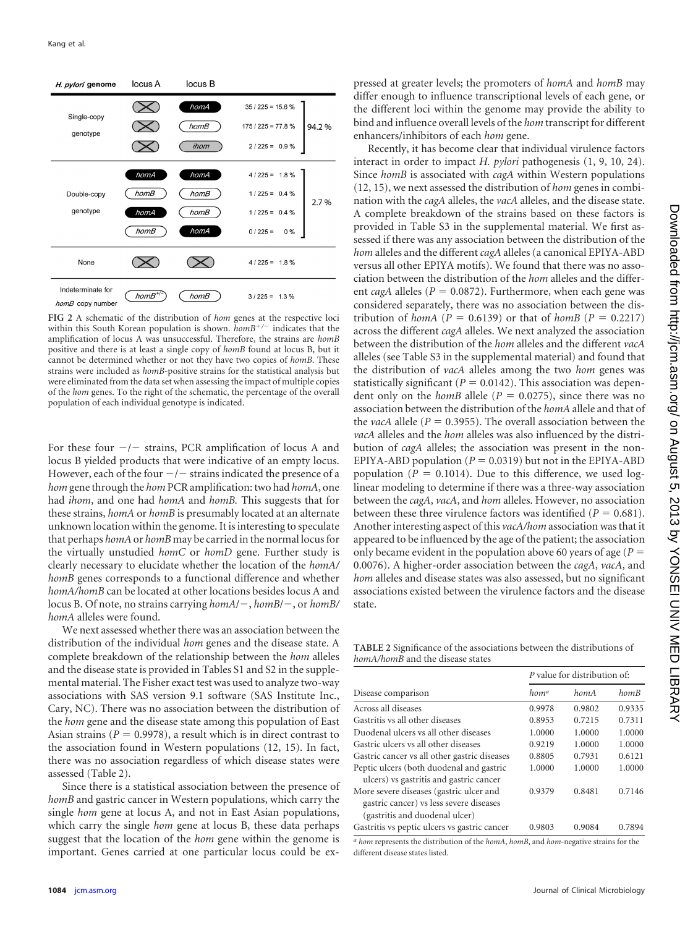| H. pylori genome                      | locus A  | locus B      |                                                |
|---------------------------------------|----------|--------------|------------------------------------------------|
| Single-copy<br>genotype               |          | homA<br>homB | $35/225 = 15.6%$<br>$175/225 = 77.8%$<br>94.2% |
|                                       |          | ihom         | $2/225 = 0.9 \%$                               |
|                                       | homA     | homA         | $4/225 = 1.8\%$                                |
| Double-copy                           | homB     | homB         | $1/225 = 0.4 \%$<br>2.7%                       |
| genotype                              | homA     | homB         | $1/225 = 0.4 \%$                               |
|                                       | homB     | homA         | $0/225 =$<br>$0\%$                             |
| None                                  |          |              | $4/225 = 1.8%$                                 |
| Indeterminate for<br>homB copy number | $homB^+$ | homB         | $3/225 = 1.3\%$                                |

<span id="page-3-0"></span>**FIG 2** A schematic of the distribution of *hom* genes at the respective loci within this South Korean population is shown.  $homB^{+/-}$  indicates that the amplification of locus A was unsuccessful. Therefore, the strains are *homB* positive and there is at least a single copy of *homB* found at locus B, but it cannot be determined whether or not they have two copies of *homB*. These strains were included as *homB*-positive strains for the statistical analysis but were eliminated from the data set when assessing the impact of multiple copies of the *hom* genes. To the right of the schematic, the percentage of the overall population of each individual genotype is indicated.

For these four  $-/-$  strains, PCR amplification of locus A and locus B yielded products that were indicative of an empty locus. However, each of the four  $-/-$  strains indicated the presence of a *hom*gene through the *hom* PCR amplification: two had *homA*, one had *ihom*, and one had *homA* and *homB.* This suggests that for these strains, *homA* or *homB* is presumably located at an alternate unknown location within the genome. It is interesting to speculate that perhaps *homA*or *homB* may be carried in the normal locus for the virtually unstudied *homC* or *homD* gene. Further study is clearly necessary to elucidate whether the location of the *homA/ homB* genes corresponds to a functional difference and whether *homA/homB* can be located at other locations besides locus A and locus B. Of note, no strains carrying  $homA/-$ ,  $homB/-$ , or  $homB/$ *homA* alleles were found.

We next assessed whether there was an association between the distribution of the individual *hom* genes and the disease state. A complete breakdown of the relationship between the *hom* alleles and the disease state is provided in Tables S1 and S2 in the supplemental material. The Fisher exact test was used to analyze two-way associations with SAS version 9.1 software (SAS Institute Inc., Cary, NC). There was no association between the distribution of the *hom* gene and the disease state among this population of East Asian strains  $(P = 0.9978)$ , a result which is in direct contrast to the association found in Western populations [\(12,](#page-4-18) [15\)](#page-4-16). In fact, there was no association regardless of which disease states were assessed [\(Table 2\)](#page-3-1).

Since there is a statistical association between the presence of *homB* and gastric cancer in Western populations, which carry the single *hom* gene at locus A, and not in East Asian populations, which carry the single *hom* gene at locus B, these data perhaps suggest that the location of the *hom* gene within the genome is important. Genes carried at one particular locus could be ex-

pressed at greater levels; the promoters of *homA* and *homB* may differ enough to influence transcriptional levels of each gene, or the different loci within the genome may provide the ability to bind and influence overall levels of the *hom* transcript for different enhancers/inhibitors of each *hom* gene.

Recently, it has become clear that individual virulence factors interact in order to impact *H. pylori* pathogenesis [\(1,](#page-4-22) [9,](#page-4-12) [10,](#page-4-13) [24\)](#page-4-23). Since *homB* is associated with *cagA* within Western populations [\(12,](#page-4-18) [15\)](#page-4-16), we next assessed the distribution of *hom* genes in combination with the *cagA* alleles, the *vacA* alleles, and the disease state. A complete breakdown of the strains based on these factors is provided in Table S3 in the supplemental material. We first assessed if there was any association between the distribution of the *hom* alleles and the different *cagA* alleles (a canonical EPIYA-ABD versus all other EPIYA motifs). We found that there was no association between the distribution of the *hom* alleles and the different *cagA* alleles ( $P = 0.0872$ ). Furthermore, when each gene was considered separately, there was no association between the distribution of *homA* ( $P = 0.6139$ ) or that of *homB* ( $P = 0.2217$ ) across the different *cagA* alleles. We next analyzed the association between the distribution of the *hom* alleles and the different *vacA* alleles (see Table S3 in the supplemental material) and found that the distribution of *vacA* alleles among the two *hom* genes was statistically significant ( $P = 0.0142$ ). This association was dependent only on the *homB* allele ( $P = 0.0275$ ), since there was no association between the distribution of the *homA* allele and that of the *vacA* allele ( $P = 0.3955$ ). The overall association between the *vacA* alleles and the *hom* alleles was also influenced by the distribution of *cagA* alleles; the association was present in the non-EPIYA-ABD population  $(P = 0.0319)$  but not in the EPIYA-ABD population ( $P = 0.1014$ ). Due to this difference, we used loglinear modeling to determine if there was a three-way association between the *cagA*, *vacA*, and *hom* alleles. However, no association between these three virulence factors was identified  $(P = 0.681)$ . Another interesting aspect of this *vacA/hom* association was that it appeared to be influenced by the age of the patient; the association only became evident in the population above 60 years of age (*P* 0.0076). A higher-order association between the *cagA*, *vacA*, and *hom* alleles and disease states was also assessed, but no significant associations existed between the virulence factors and the disease state.

<span id="page-3-1"></span>**TABLE 2** Significance of the associations between the distributions of *homA/homB* and the disease states

|                                                                                                                      | P value for distribution of: |        |        |  |
|----------------------------------------------------------------------------------------------------------------------|------------------------------|--------|--------|--|
| Disease comparison                                                                                                   | hom <sup>a</sup>             | homA   | homB   |  |
| Across all diseases                                                                                                  | 0.9978                       | 0.9802 | 0.9335 |  |
| Gastritis vs all other diseases                                                                                      | 0.8953                       | 0.7215 | 0.7311 |  |
| Duodenal ulcers vs all other diseases                                                                                | 1.0000                       | 1.0000 | 1.0000 |  |
| Gastric ulcers vs all other diseases                                                                                 | 0.9219                       | 1.0000 | 1.0000 |  |
| Gastric cancer vs all other gastric diseases                                                                         | 0.8805                       | 0.7931 | 0.6121 |  |
| Peptic ulcers (both duodenal and gastric<br>ulcers) vs gastritis and gastric cancer                                  | 1.0000                       | 1.0000 | 1.0000 |  |
| More severe diseases (gastric ulcer and<br>gastric cancer) vs less severe diseases<br>(gastritis and duodenal ulcer) | 0.9379                       | 0.8481 | 0.7146 |  |
| Gastritis vs peptic ulcers vs gastric cancer                                                                         | 0.9803                       | 0.9084 | 0.7894 |  |

*a hom* represents the distribution of the *homA*, *homB*, and *hom*-negative strains for the different disease states listed.